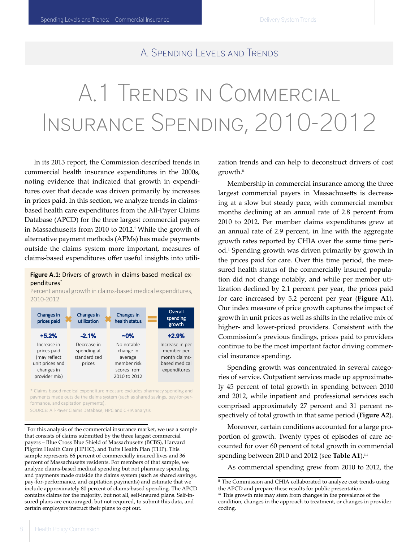### A. Spending Levels and Trends

# A.1 Trends in Commercial Insurance Spending, 2010-2012

In its 2013 report, the Commission described trends in commercial health insurance expenditures in the 2000s, noting evidence that indicated that growth in expenditures over that decade was driven primarily by increases in prices paid. In this section, we analyze trends in claimsbased health care expenditures from the All-Payer Claims Database (APCD) for the three largest commercial payers in Massachusetts from 2010 to 2012.<sup>i</sup> While the growth of alternative payment methods (APMs) has made payments outside the claims system more important, measures of claims-based expenditures offer useful insights into utili-

#### Figure A.1: Drivers of growth in claims-based medical expenditures\*

Percent annual growth in claims-based medical expenditures, 2010-2012

| Changes in<br>prices paid | Changes in<br>utilization | Changes in<br>health status | Overall<br>spending<br>growth |
|---------------------------|---------------------------|-----------------------------|-------------------------------|
| $+5.2%$                   | $-2.1%$                   | $-0\%$                      | $+2.9%$                       |
| Increase in               | Decrease in               | No notable                  | Increase in per               |
| prices paid               | spending at               | change in                   | member per                    |
| (may reflect              | standardized              | average                     | month claims-                 |
| unit prices and           | prices                    | member risk                 | based medical                 |
| changes in                |                           | scores from                 | expenditures                  |
| provider mix)             |                           | 2010 to 2012                |                               |

\* Claims-based medical expenditure measure excludes pharmacy spending and payments made outside the claims system (such as shared savings, pay-for-performance, and capitation payments).

SOURCE: All-Payer Claims Database; HPC and CHIA analysis

i   For this analysis of the commercial insurance market, we use a sample that consists of claims submitted by the three largest commercial payers - Blue Cross Blue Shield of Massachusetts (BCBS), Harvard Pilgrim Health Care (HPHC), and Tufts Health Plan (THP). This sample represents 66 percent of commercially insured lives and 36 percent of Massachusetts residents. For members of that sample, we analyze claims-based medical spending but not pharmacy spending and payments made outside the claims system (such as shared savings, pay-for-performance, and capitation payments) and estimate that we include approximately 80 percent of claims-based spending. The APCD contains claims for the majority, but not all, self-insured plans. Self-insured plans are encouraged, but not required, to submit this data, and certain employers instruct their plans to opt out.

zation trends and can help to deconstruct drivers of cost growth.<sup>ii</sup>

Membership in commercial insurance among the three largest commercial payers in Massachusetts is decreasing at a slow but steady pace, with commercial member months declining at an annual rate of 2.8 percent from 2010 to 2012. Per member claims expenditures grew at an annual rate of 2.9 percent, in line with the aggregate growth rates reported by CHIA over the same time period.1 Spending growth was driven primarily by growth in the prices paid for care. Over this time period, the measured health status of the commercially insured population did not change notably, and while per member utilization declined by 2.1 percent per year, the prices paid for care increased by 5.2 percent per year (**Figure A1**). Our index measure of price growth captures the impact of growth in unit prices as well as shifts in the relative mix of higher- and lower-priced providers. Consistent with the Commission's previous findings, prices paid to providers continue to be the most important factor driving commercial insurance spending.

Spending growth was concentrated in several categories of service. Outpatient services made up approximately 45 percent of total growth in spending between 2010 and 2012, while inpatient and professional services each comprised approximately 27 percent and 31 percent respectively of total growth in that same period (**Figure A2**).

Moreover, certain conditions accounted for a large proportion of growth. Twenty types of episodes of care accounted for over 60 percent of total growth in commercial spending between 2010 and 2012 (see Table A1).<sup>iii</sup>

As commercial spending grew from 2010 to 2012, the

ii  The Commission and CHIA collaborated to analyze cost trends using the APCD and prepare these results for public presentation.

iii  This growth rate may stem from changes in the prevalence of the condition, changes in the approach to treatment, or changes in provider coding.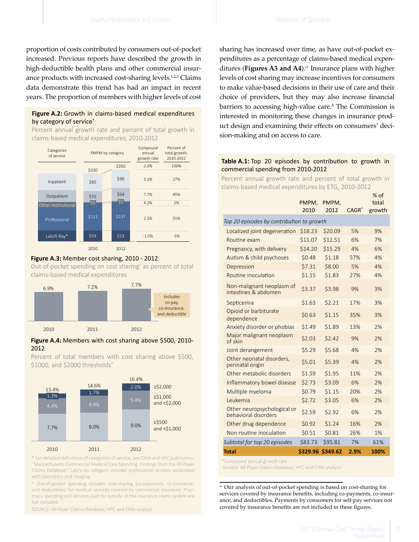proportion of costs contributed by consumers out-of-pocket increased. Previous reports have described the growth in high-deductible health plans and other commercial insurance products with increased cost-sharing levels.<sup>1,2,3</sup> Claims data demonstrate this trend has had an impact in recent years. The proportion of members with higher levels of cost

#### by category of service\* **Figure A.2:** Growth in claims-based medical expenditures

Percent annual growth rate and percent of total growth in claims-based medical expenditures, 2010-2012



#### claims-based medical expenditures **Figure A.3:** Member cost sharing, 2010 - 2012 Out-of-pocket spending on cost sharing† as percent of total



#### **Figure A.4:** Members with cost sharing above \$500, 2010- 2012

 $$1000$ , and \$2000 thresholds<sup>†</sup> Percent of total members with cost sharing above \$500,



with laboratory and imaging.<br>
with laboratory and imaging. \* For detailed definitions of categories of service, see CHIA and HPC publication, "Massachusetts Commercial Medical Care Spending: Findings from the All-Payer Claims Database." Lab/x-ray category includes professional services associated

† Out-of-pocket spending includes cost-sharing (co-payments, co-insurance, and deductibles) for medical services covered by commercial insurance. Pharmacy spending and services paid for outside of the insurance claims system are not included.

SOURCE: All-Payer Claims Database; HPC and CHIA analysis

sharing has increased over time, as have out-of-pocket expenditures as a percentage of claims-based medical expenditures (**Figures A3 and A4**).<sup>iv</sup> Insurance plans with higher levels of cost sharing may increase incentives for consumers to make value-based decisions in their use of care and their choice of providers, but they may also increase financial barriers to accessing high-value care.4 The Commission is interested in monitoring these changes in insurance product design and examining their effects on consumers' decision-making and on access to care.

#### **Table A.1:** Top 20 episodes by contribution to growth in commercial spending from 2010-2012

Percent annual growth rate and percent of total growth in claims-based medical expenditures by ETG, 2010-2012

|                                                     | PMPM,<br>2010 | PMPM,<br>2012 | $CAGR^*$ | $%$ of<br>total<br>growth |  |  |
|-----------------------------------------------------|---------------|---------------|----------|---------------------------|--|--|
| Top 20 episodes by contribution to growth           |               |               |          |                           |  |  |
| Localized joint degeneration                        | \$18.23       | \$20.09       | 5%       | 9%                        |  |  |
| Routine exam                                        | \$11.07       | \$12.51       | 6%       | 7%                        |  |  |
| Pregnancy, with delivery                            | \$14.20       | \$15.29       | 4%       | 6%                        |  |  |
| Autism & child psychoses                            | \$0.48        | \$1.18        | 57%      | 4%                        |  |  |
| Depression                                          | \$7.31        | \$8.00        | 5%       | 4%                        |  |  |
| Routine inoculation                                 | \$1.15        | \$1.83        | 27%      | 4%                        |  |  |
| Non-malignant neoplasm of<br>intestines & abdomen   | \$3.37        | \$3.98        | 9%       | 3%                        |  |  |
| Septicemia                                          | \$1.63        | \$2.21        | 17%      | 3%                        |  |  |
| Opioid or barbiturate<br>dependence                 | \$0.63        | \$1.15        | 35%      | 3%                        |  |  |
| Anxiety disorder or phobias                         | \$1.49        | \$1.89        | 13%      | 2%                        |  |  |
| Major malignant neoplasm<br>of skin                 | \$2.03        | \$2.42        | 9%       | 2%                        |  |  |
| Joint derangement                                   | \$5.29        | \$5.68        | 4%       | 2%                        |  |  |
| Other neonatal disorders,<br>perinatal origin       | \$5.01        | \$5.39        | 4%       | 2%                        |  |  |
| Other metabolic disorders                           | \$1.59        | \$1.95        | 11%      | 2%                        |  |  |
| Inflammatory bowel disease                          | \$2.73        | \$3.09        | 6%       | 2%                        |  |  |
| Multiple myeloma                                    | \$0.79        | \$1.15        | 20%      | 2%                        |  |  |
| Leukemia                                            | \$2.72        | \$3.05        | 6%       | 2%                        |  |  |
| Other neuropsychological or<br>behavioral disorders | \$2.59        | \$2.92        | 6%       | 2%                        |  |  |
| Other drug dependence                               | \$0.92        | \$1.24        | 16%      | 2%                        |  |  |
| Non-routine inoculation                             | \$0.51        | \$0.81        | 26%      | 1%                        |  |  |
| Subtotal for top 20 episodes                        | \$83.73       | \$95.81       | 7%       | 61%                       |  |  |
| Total                                               | \$329.96      | \$349.62      | 2.9%     | 100%                      |  |  |

\*Compound annual growth rate

Source: All-Payer Claims Database; HPC and CHIA analysis

iv  Our analysis of out-of-pocket spending is based on cost-sharing for services covered by insurance benefits, including co-payments, co-insurance, and deductibles. Payments by consumers for self-pay services not covered by insurance benefits are not included in these figures.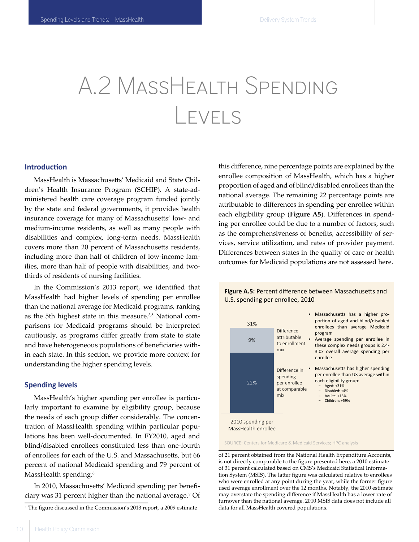### A.2 MassHealth Spending Levels

#### **Introduction**

MassHealth is Massachusetts' Medicaid and State Children's Health Insurance Program (SCHIP). A state-administered health care coverage program funded jointly by the state and federal governments, it provides health insurance coverage for many of Massachusetts' low- and medium-income residents, as well as many people with disabilities and complex, long-term needs. MassHealth covers more than 20 percent of Massachusetts residents, including more than half of children of low-income families, more than half of people with disabilities, and twothirds of residents of nursing facilities.

In the Commission's 2013 report, we identified that MassHealth had higher levels of spending per enrollee than the national average for Medicaid programs, ranking as the 5th highest state in this measure.<sup>3,5</sup> National comparisons for Medicaid programs should be interpreted cautiously, as programs differ greatly from state to state and have heterogeneous populations of beneficiaries within each state. In this section, we provide more context for understanding the higher spending levels.

#### **Spending levels**

MassHealth's higher spending per enrollee is particularly important to examine by eligibility group, because the needs of each group differ considerably. The concentration of MassHealth spending within particular populations has been well-documented. In FY2010, aged and blind/disabled enrollees constituted less than one-fourth of enrollees for each of the U.S. and Massachusetts, but 66 percent of national Medicaid spending and 79 percent of MassHealth spending.<sup>6</sup>

In 2010, Massachusetts' Medicaid spending per beneficiary was 31 percent higher than the national average.<sup>v</sup> Of

this difference, nine percentage points are explained by the enrollee composition of MassHealth, which has a higher proportion of aged and of blind/disabled enrollees than the national average. The remaining 22 percentage points are attributable to differences in spending per enrollee within each eligibility group (**Figure A5**). Differences in spending per enrollee could be due to a number of factors, such as the comprehensiveness of benefits, accessibility of services, service utilization, and rates of provider payment. Differences between states in the quality of care or health outcomes for Medicaid populations are not assessed here.



#### U.S. spending per enrollee, 2010 **Figure A.5:** Percent difference between Massachusetts and

SOURCE: Centers for Medicare & Medicaid Services; HPC analysis

of 21 percent obtained from the National Health Expenditure Accounts, is not directly comparable to the figure presented here, a 2010 estimate of 31 percent calculated based on CMS's Medicaid Statistical Information System (MSIS). The latter figure was calculated relative to enrollees who were enrolled at any point during the year, while the former figure used average enrollment over the 12 months. Notably, the 2010 estimate may overstate the spending difference if MassHealth has a lower rate of turnover than the national average. 2010 MSIS data does not include all data for all MassHealth covered populations.

v   The figure discussed in the Commission's 2013 report, a 2009 estimate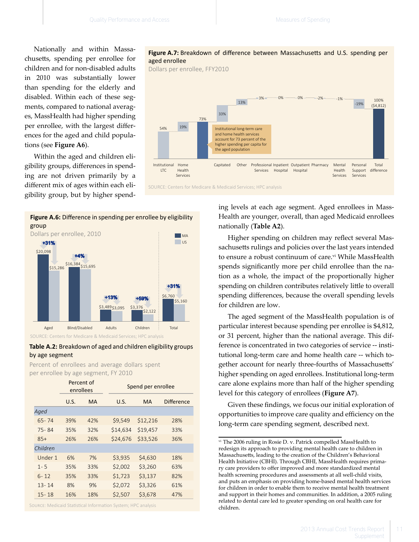Nationally and within Massachusetts, spending per enrollee for children and for non-disabled adults in 2010 was substantially lower than spending for the elderly and disabled. Within each of these segments, compared to national averages, MassHealth had higher spending per enrollee, with the largest differences for the aged and child populations (see **Figure A6**).

Within the aged and children eligibility groups, differences in spending are not driven primarily by a different mix of ages within each eligibility group, but by higher spend-



#### **Table A.2:** Breakdown of aged and children eligibility groups by age segment

Percent of enrollees and average dollars spent per enrollee by age segment, FY 2010

|           | Percent of<br>enrollees |           | Spend per enrollee |           |                   |
|-----------|-------------------------|-----------|--------------------|-----------|-------------------|
|           | U.S.                    | <b>MA</b> | U.S.               | <b>MA</b> | <b>Difference</b> |
| Aged      |                         |           |                    |           |                   |
| $65 - 74$ | 39%                     | 42%       | \$9,549            | \$12,216  | 28%               |
| $75 - 84$ | 35%                     | 32%       | \$14,634           | \$19,457  | 33%               |
| $85+$     | 26%                     | 26%       | \$24,676           | \$33,526  | 36%               |
| Children  |                         |           |                    |           |                   |
| Under 1   | 6%                      | 7%        | \$3,935            | \$4,630   | 18%               |
| $1 - 5$   | 35%                     | 33%       | \$2,002            | \$3,260   | 63%               |
| $6 - 12$  | 35%                     | 33%       | \$1,723            | \$3,137   | 82%               |
| $13 - 14$ | 8%                      | 9%        | \$2,072            | \$3,326   | 61%               |
| $15 - 18$ | 16%                     | 18%       | \$2,507            | \$3,678   | 47%               |

Source: Medicaid Statistical Information System; HPC analysis

#### **Figure A.7:** Breakdown of difference between Massachusetts and U.S. spending per aged enrollee

Dollars per enrollee, FFY2010



ing levels at each age segment. Aged enrollees in Mass-Health are younger, overall, than aged Medicaid enrollees nationally (**Table A2**).

**EXECUTE:** CHE MA COURCE Higher spending on children may reflect several Massachusetts rulings and policies over the last years intended to ensure a robust continuum of care.<sup>vi</sup> While MassHealth spends significantly more per child enrollee than the nation as a whole, the impact of the proportionally higher spending on children contributes relatively little to overall spending differences, because the overall spending levels for children are low.

> The aged segment of the MassHealth population is of particular interest because spending per enrollee is \$4,812, or 31 percent, higher than the national average. This difference is concentrated in two categories of service -- institutional long-term care and home health care -- which together account for nearly three-fourths of Massachusetts' higher spending on aged enrollees. Institutional long-term care alone explains more than half of the higher spending level for this category of enrollees (**Figure A7**).

> Given these findings, we focus our initial exploration of opportunities to improve care quality and efficiency on the long-term care spending segment, described next.

vi  The 2006 ruling in Rosie D. v. Patrick compelled MassHealth to redesign its approach to providing mental health care to children in Massachusetts, leading to the creation of the Children's Behavioral Health Initiative (CBHI). Through CBHI, MassHealth requires primary care providers to offer improved and more standardized mental health screening procedures and assessments at all well-child visits, and puts an emphasis on providing home-based mental health services for children in order to enable them to receive mental health treatment and support in their homes and communities. In addition, a 2005 ruling related to dental care led to greater spending on oral health care for children.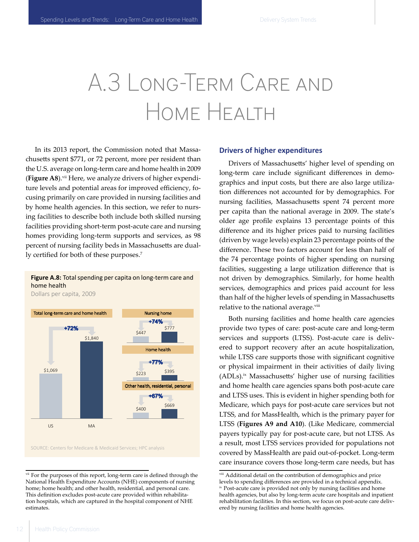# A.3 Long-Term Care and Home Health

In its 2013 report, the Commission noted that Massachusetts spent \$771, or 72 percent, more per resident than the U.S. average on long-term care and home health in 2009 (Figure A8).<sup>vii</sup> Here, we analyze drivers of higher expenditure levels and potential areas for improved efficiency, focusing primarily on care provided in nursing facilities and by home health agencies. In this section, we refer to nursing facilities to describe both include both skilled nursing facilities providing short-term post-acute care and nursing homes providing long-term supports and services, as 98 percent of nursing facility beds in Massachusetts are dually certified for both of these purposes.<sup>7</sup>

#### **Figure A.8:** Total spending per capita on long-term care and home health

Dollars per capita, 2009



SOURCE: Centers for Medicare & Medicaid Services; HPC analysis SOURCE: Centers for Medicare & Medicaid Services; HPC analysis

#### **Drivers of higher expenditures**

Drivers of Massachusetts' higher level of spending on long-term care include significant differences in demographics and input costs, but there are also large utilization differences not accounted for by demographics. For nursing facilities, Massachusetts spent 74 percent more per capita than the national average in 2009. The state's older age profile explains 13 percentage points of this difference and its higher prices paid to nursing facilities (driven by wage levels) explain 23 percentage points of the difference. These two factors account for less than half of the 74 percentage points of higher spending on nursing facilities, suggesting a large utilization difference that is not driven by demographics. Similarly, for home health services, demographics and prices paid account for less than half of the higher levels of spending in Massachusetts relative to the national average.viii

Both nursing facilities and home health care agencies provide two types of care: post-acute care and long-term services and supports (LTSS). Post-acute care is delivered to support recovery after an acute hospitalization, while LTSS care supports those with significant cognitive or physical impairment in their activities of daily living (ADLs).<sup>ix</sup> Massachusetts' higher use of nursing facilities and home health care agencies spans both post-acute care and LTSS uses. This is evident in higher spending both for Medicare, which pays for post-acute care services but not LTSS, and for MassHealth, which is the primary payer for LTSS (**Figures A9 and A10**). (Like Medicare, commercial payers typically pay for post-acute care, but not LTSS. As a result, most LTSS services provided for populations not covered by MassHealth are paid out-of-pocket. Long-term care insurance covers those long-term care needs, but has

<sup>&</sup>lt;sup>vii</sup> For the purposes of this report, long-term care is defined through the National Health Expenditure Accounts (NHE) components of nursing home; home health; and other health, residential, and personal care. This definition excludes post-acute care provided within rehabilitation hospitals, which are captured in the hospital component of NHE estimates.

viii  Additional detail on the contribution of demographics and price levels to spending differences are provided in a technical appendix. ix Post-acute care is provided not only by nursing facilities and home health agencies, but also by long-term acute care hospitals and inpatient rehabilitation facilities. In this section, we focus on post-acute care delivered by nursing facilities and home health agencies.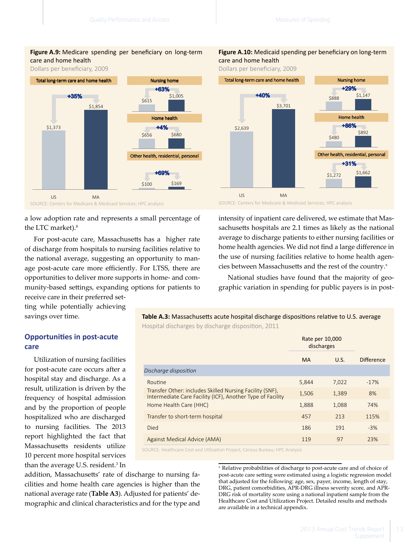#### Figure A.9: Medicare spending per beneficiary on long-term care and home health

Dollars per beneficiary, 2009



a low adoption rate and represents a small percentage of the LTC market).<sup>8</sup>

For post-acute care, Massachusetts has a higher rate of discharge from hospitals to nursing facilities relative to the national average, suggesting an opportunity to manage post-acute care more efficiently. For LTSS, there are opportunities to deliver more supports in home- and community-based settings, expanding options for patients to receive care in their preferred set-

ting while potentially achieving savings over time.

#### **Opportunities in post-acute care**

Utilization of nursing facilities for post-acute care occurs after a hospital stay and discharge. As a result, utilization is driven by the frequency of hospital admission and by the proportion of people hospitalized who are discharged to nursing facilities. The 2013 report highlighted the fact that Massachusetts residents utilize 10 percent more hospital services than the average U.S. resident.<sup>3</sup> In

addition, Massachusetts' rate of discharge to nursing facilities and home health care agencies is higher than the national average rate (**Table A3**). Adjusted for patients' demographic and clinical characteristics and for the type and

#### Figure A.10: Medicaid spending per beneficiary on long-term care and home health

Dollars per beneficiary, 2009



intensity of inpatient care delivered, we estimate that Massachusetts hospitals are 2.1 times as likely as the national average to discharge patients to either nursing facilities or home health agencies. We did not find a large difference in the use of nursing facilities relative to home health agencies between Massachusetts and the rest of the country.<sup>x</sup>

National studies have found that the majority of geographic variation in spending for public payers is in post-

#### **Table A.3:** Massachusetts acute hospital discharge dispositions relative to U.S. average Hospital discharges by discharge disposition, 2011

|                                                                                                                        | Rate per 10,000<br>discharges |       |                   |
|------------------------------------------------------------------------------------------------------------------------|-------------------------------|-------|-------------------|
|                                                                                                                        | <b>MA</b>                     | U.S.  | <b>Difference</b> |
| Discharge disposition                                                                                                  |                               |       |                   |
| Routine                                                                                                                | 5,844                         | 7,022 | $-17%$            |
| Transfer Other: includes Skilled Nursing Facility (SNF).<br>Intermediate Care Facility (ICF), Another Type of Facility | 1,506                         | 1,389 | 8%                |
| Home Health Care (HHC)                                                                                                 | 1,888                         | 1,088 | 74%               |
| Transfer to short-term hospital                                                                                        | 457                           | 213   | 115%              |
| Died                                                                                                                   | 186                           | 191   | $-3%$             |
| Against Medical Advice (AMA)                                                                                           | 119                           | 97    | 23%               |
|                                                                                                                        |                               |       |                   |

SOURCE: Healthcare Cost and Utilization Project; Census Bureau; HPC Analysis

x   Relative probabilities of discharge to post-acute care and of choice of post-acute care setting were estimated using a logistic regression model that adjusted for the following: age, sex, payer, income, length of stay, DRG, patient comorbidities, APR-DRG illness severity score, and APR-DRG risk of mortality score using a national inpatient sample from the Healthcare Cost and Utilization Project. Detailed results and methods are available in a technical appendix.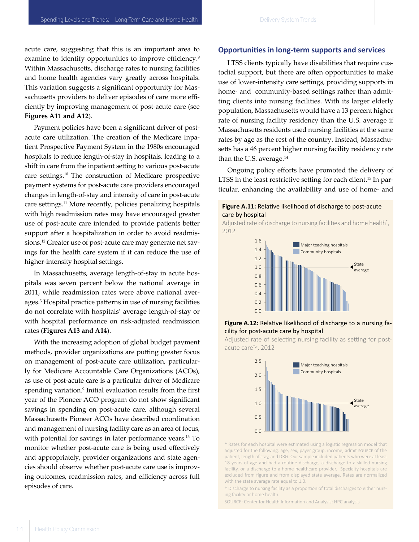acute care, suggesting that this is an important area to examine to identify opportunities to improve efficiency.<sup>9</sup> Within Massachusetts, discharge rates to nursing facilities and home health agencies vary greatly across hospitals. This variation suggests a significant opportunity for Massachusetts providers to deliver episodes of care more efficiently by improving management of post-acute care (see **Figures A11 and A12**).

Payment policies have been a significant driver of postacute care utilization. The creation of the Medicare Inpatient Prospective Payment System in the 1980s encouraged hospitals to reduce length-of-stay in hospitals, leading to a shift in care from the inpatient setting to various post-acute care settings.<sup>10</sup> The construction of Medicare prospective payment systems for post-acute care providers encouraged changes in length-of-stay and intensity of care in post-acute care settings.11 More recently, policies penalizing hospitals with high readmission rates may have encouraged greater use of post-acute care intended to provide patients better support after a hospitalization in order to avoid readmissions.12 Greater use of post-acute care may generate net savings for the health care system if it can reduce the use of higher-intensity hospital settings.

In Massachusetts, average length-of-stay in acute hospitals was seven percent below the national average in 2011, while readmission rates were above national averages.3 Hospital practice patterns in use of nursing facilities do not correlate with hospitals' average length-of-stay or with hospital performance on risk-adjusted readmission rates (**Figures A13 and A14**).

With the increasing adoption of global budget payment methods, provider organizations are putting greater focus on management of post-acute care utilization, particularly for Medicare Accountable Care Organizations (ACOs), as use of post-acute care is a particular driver of Medicare spending variation.<sup>9</sup> Initial evaluation results from the first year of the Pioneer ACO program do not show significant savings in spending on post-acute care, although several Massachusetts Pioneer ACOs have described coordination and management of nursing facility care as an area of focus, with potential for savings in later performance years.<sup>13</sup> To monitor whether post-acute care is being used effectively and appropriately, provider organizations and state agencies should observe whether post-acute care use is improving outcomes, readmission rates, and efficiency across full episodes of care.

#### **Opportunities in long-term supports and services**

LTSS clients typically have disabilities that require custodial support, but there are often opportunities to make use of lower-intensity care settings, providing supports in home- and community-based settings rather than admitting clients into nursing facilities. With its larger elderly population, Massachusetts would have a 13 percent higher rate of nursing facility residency than the U.S. average if Massachusetts residents used nursing facilities at the same rates by age as the rest of the country. Instead, Massachusetts has a 46 percent higher nursing facility residency rate than the U.S. average. $14$ 

Ongoing policy efforts have promoted the delivery of LTSS in the least restrictive setting for each client.<sup>15</sup> In particular, enhancing the availability and use of home- and



Adjusted rate of discharge to nursing facilities and home health\* , 2012



#### **Figure A.12:** Relative likelihood of discharge to a nursing facility for post-acute care by hospital

Adjusted rate of selecting nursing facility as setting for postor a displayed from figure are excluded from figure and from figure and from figure average. Rates are normalized with the state average. Rates are normalized with the state average equal to 1.0.



\* Rates for each hospital were estimated using a logistic regression model that adjusted for the following: age, sex, payer group, income, admit source of the patient, length of stay, and DRG. Our sample included patients who were at least 18 years of age and had a routine discharge, a discharge to a skilled nursing facility, or a discharge to a home healthcare provider. Specialty hospitals are excluded from figure and from displayed state average. Rates are normalized with the state average rate equal to 1.0.

† Discharge to nursing facility as a proportion of total discharges to either nursing facility or home health.

SOURCE: Center for Health Information and Analysis; HPC analysis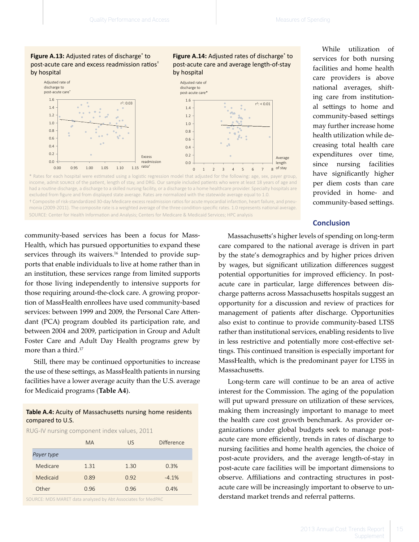**Figure A.13:** Adjusted rates of discharge<sup>\*</sup> to post-acute care and excess readmission ratios† by hospital



income, admit source of the patient, length of stay, and DRG. Our sample included patients who were at least 18 years of age and had a routine discharge, a discharge to a skilled nursing facility, or a discharge to a home healthcare provider. Specialty hospitals are excluded from figure and from displayed state average. Rates are normalized with the statewide average equal to 1.0. \* Rates for each hospital were estimated using a logistic regression model that adjusted for the following: age, sex, payer group, † Composite of risk-standardized 30-day Medicare excess readmission ratios for acute myocardial infarction, heart failure, and pneu-

monia (2009-2011). The composite rate is a weighted average of the three condition-specific rates. 1.0 represents national average. SOURCE: Center for Health Information and Analysis; Centers for Medicare & Medicaid Services; HPC analysis

community-based services has been a focus for Mass-Health, which has pursued opportunities to expand these services through its waivers.<sup>16</sup> Intended to provide supports that enable individuals to live at home rather than in an institution, these services range from limited supports for those living independently to intensive supports for those requiring around-the-clock care. A growing proportion of MassHealth enrollees have used community-based services: between 1999 and 2009, the Personal Care Attendant (PCA) program doubled its participation rate, and between 2004 and 2009, participation in Group and Adult Foster Care and Adult Day Health programs grew by more than a third.17

Still, there may be continued opportunities to increase the use of these settings, as MassHealth patients in nursing facilities have a lower average acuity than the U.S. average for Medicaid programs (**Table A4**).

#### **Table A.4:** Acuity of Massachusetts nursing home residents compared to U.S.

RUG-IV nursing component index values, 2011

|            | <b>MA</b> | US.  | Difference |
|------------|-----------|------|------------|
| Payer type |           |      |            |
| Medicare   | 1.31      | 1.30 | 0.3%       |
| Medicaid   | 0.89      | 0.92 | $-4.1%$    |
| Other      | 0.96      | 0.96 | 0.4%       |

SOURCE: MDS MARET data analyzed by Abt Associates for MedPAC

Figure A.14: Adjusted rates of discharge<sup>\*</sup> to post-acute care and average length-of-stay by hospital

services for both nursing facilities and home health care providers is above national averages, shifting care from institutional settings to home and community-based settings may further increase home health utilization while decreasing total health care expenditures over time, since nursing facilities have significantly higher per diem costs than care provided in home- and community-based settings.

While utilization of

#### **Conclusion**

Massachusetts's higher levels of spending on long-term care compared to the national average is driven in part by the state's demographics and by higher prices driven by wages, but significant utilization differences suggest potential opportunities for improved efficiency. In postacute care in particular, large differences between discharge patterns across Massachusetts hospitals suggest an opportunity for a discussion and review of practices for management of patients after discharge. Opportunities also exist to continue to provide community-based LTSS rather than institutional services, enabling residents to live in less restrictive and potentially more cost-effective settings. This continued transition is especially important for MassHealth, which is the predominant payer for LTSS in Massachusetts.

Long-term care will continue to be an area of active interest for the Commission. The aging of the population will put upward pressure on utilization of these services, making them increasingly important to manage to meet the health care cost growth benchmark. As provider organizations under global budgets seek to manage postacute care more efficiently, trends in rates of discharge to nursing facilities and home health agencies, the choice of post-acute providers, and the average length-of-stay in post-acute care facilities will be important dimensions to observe. Affiliations and contracting structures in postacute care will be increasingly important to observe to understand market trends and referral patterns.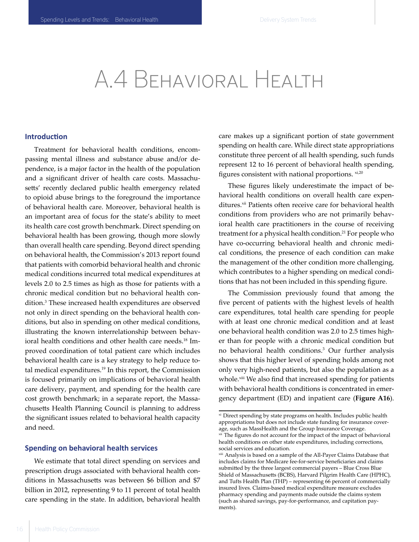### A.4 Behavioral Health

#### **Introduction**

Treatment for behavioral health conditions, encompassing mental illness and substance abuse and/or dependence, is a major factor in the health of the population and a significant driver of health care costs. Massachusetts' recently declared public health emergency related to opioid abuse brings to the foreground the importance of behavioral health care. Moreover, behavioral health is an important area of focus for the state's ability to meet its health care cost growth benchmark. Direct spending on behavioral health has been growing, though more slowly than overall health care spending. Beyond direct spending on behavioral health, the Commission's 2013 report found that patients with comorbid behavioral health and chronic medical conditions incurred total medical expenditures at levels 2.0 to 2.5 times as high as those for patients with a chronic medical condition but no behavioral health condition.3 These increased health expenditures are observed not only in direct spending on the behavioral health conditions, but also in spending on other medical conditions, illustrating the known interrelationship between behavioral health conditions and other health care needs.<sup>18</sup> Improved coordination of total patient care which includes behavioral health care is a key strategy to help reduce total medical expenditures.<sup>19</sup> In this report, the Commission is focused primarily on implications of behavioral health care delivery, payment, and spending for the health care cost growth benchmark; in a separate report, the Massachusetts Health Planning Council is planning to address the significant issues related to behavioral health capacity and need.

#### **Spending on behavioral health services**

We estimate that total direct spending on services and prescription drugs associated with behavioral health conditions in Massachusetts was between \$6 billion and \$7 billion in 2012, representing 9 to 11 percent of total health care spending in the state. In addition, behavioral health care makes up a significant portion of state government spending on health care. While direct state appropriations constitute three percent of all health spending, such funds represent 12 to 16 percent of behavioral health spending, figures consistent with national proportions.  $x$ <sub>1,20</sub>

These figures likely underestimate the impact of behavioral health conditions on overall health care expenditures.<sup>xii</sup> Patients often receive care for behavioral health conditions from providers who are not primarily behavioral health care practitioners in the course of receiving treatment for a physical health condition.<sup>21</sup> For people who have co-occurring behavioral health and chronic medical conditions, the presence of each condition can make the management of the other condition more challenging, which contributes to a higher spending on medical conditions that has not been included in this spending figure.

The Commission previously found that among the five percent of patients with the highest levels of health care expenditures, total health care spending for people with at least one chronic medical condition and at least one behavioral health condition was 2.0 to 2.5 times higher than for people with a chronic medical condition but no behavioral health conditions.<sup>3</sup> Our further analysis shows that this higher level of spending holds among not only very high-need patients, but also the population as a whole.<sup>xiii</sup> We also find that increased spending for patients with behavioral health conditions is concentrated in emergency department (ED) and inpatient care (**Figure A16**).

xi  Direct spending by state programs on health. Includes public health appropriations but does not include state funding for insurance coverage, such as MassHealth and the Group Insurance Coverage.

xii  The figures do not account for the impact of the impact of behavioral health conditions on other state expenditures, including corrections, social services and education.

xiii  Analysis is based on a sample of the All-Payer Claims Database that includes claims for Medicare fee-for-service beneficiaries and claims submitted by the three largest commercial payers – Blue Cross Blue Shield of Massachusetts (BCBS), Harvard Pilgrim Health Care (HPHC), and Tufts Health Plan (THP) – representing 66 percent of commercially insured lives. Claims-based medical expenditure measure excludes pharmacy spending and payments made outside the claims system (such as shared savings, pay-for-performance, and capitation payments).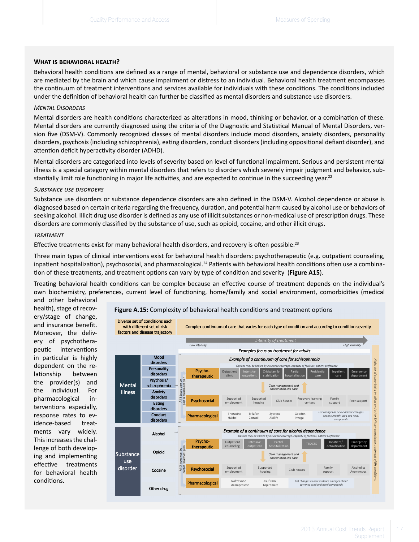#### **What is behavioral health?**

Behavioral health conditions are defined as a range of mental, behavioral or substance use and dependence disorders, which are mediated by the brain and which cause impairment or distress to an individual. Behavioral health treatment encompasses the continuum of treatment interventions and services available for individuals with these conditions. The conditions included under the definition of behavioral health can further be classified as mental disorders and substance use disorders.

#### *Mental Disorders*

Mental disorders are health conditions characterized as alterations in mood, thinking or behavior, or a combination of these. Mental disorders are currently diagnosed using the criteria of the Diagnostic and Statistical Manual of Mental Disorders, version five (DSM-V). Commonly recognized classes of mental disorders include mood disorders, anxiety disorders, personality disorders, psychosis (including schizophrenia), eating disorders, conduct disorders (including oppositional defiant disorder), and attention deficit hyperactivity disorder (ADHD).

Mental disorders are categorized into levels of severity based on level of functional impairment. Serious and persistent mental illness is a special category within mental disorders that refers to disorders which severely impair judgment and behavior, substantially limit role functioning in major life activities, and are expected to continue in the succeeding year.<sup>22</sup>

#### *Substance use disorders*

Substance use disorders or substance dependence disorders are also defined in the DSM-V. Alcohol dependence or abuse is diagnosed based on certain criteria regarding the frequency, duration, and potential harm caused by alcohol use or behaviors of seeking alcohol. Illicit drug use disorder is defined as any use of illicit substances or non-medical use of prescription drugs. These disorders are commonly classified by the substance of use, such as opioid, cocaine, and other illicit drugs.

#### *Treatment*

Effective treatments exist for many behavioral health disorders, and recovery is often possible.<sup>23</sup>

Three main types of clinical interventions exist for behavioral health disorders: psychotherapeutic (e.g. outpatient counseling, inpatient hospitalization), psychosocial, and pharmacological.<sup>24</sup> Patients with behavioral health conditions often use a combination of these treatments, and treatment options can vary by type of condition and severity (**Figure A15**).

Treating behavioral health conditions can be complex because an effective course of treatment depends on the individual's own biochemistry, preferences, current level of functioning, home/family and social environment, comorbidities (medical

and other behavioral health), stage of recovery/stage of change, and insurance benefit. Moreover, the delivery of psychotherapeutic interventions in particular is highly dependent on the relationship between the provider(s) and the individual. For pharmacological interventions especially, response rates to evidence-based treatments vary widely. This increases the challenge of both developing and implementing effective treatments for behavioral health conditions.

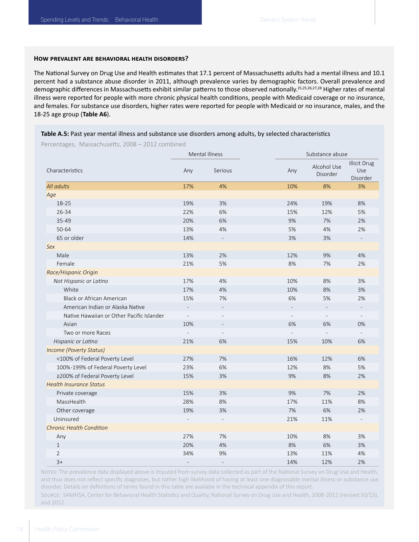#### **How prevalent are behavioral health disorders?**

The National Survey on Drug Use and Health estimates that 17.1 percent of Massachusetts adults had a mental illness and 10.1 percent had a substance abuse disorder in 2011, although prevalence varies by demographic factors. Overall prevalence and demographic differences in Massachusetts exhibit similar patterns to those observed nationally.<sup>25,25,26,27,28</sup> Higher rates of mental illness were reported for people with more chronic physical health conditions, people with Medicaid coverage or no insurance, and females. For substance use disorders, higher rates were reported for people with Medicaid or no insurance, males, and the 18-25 age group (**Table A6**).

#### **Table A.5:** Past year mental illness and substance use disorders among adults, by selected characteristics

Percentages, Massachusetts, 2008 – 2012 combined

|                                           |                | Mental Illness |                | Substance abuse         |                                        |
|-------------------------------------------|----------------|----------------|----------------|-------------------------|----------------------------------------|
| Characteristics                           | Any            | Serious        | Any            | Alcohol Use<br>Disorder | <b>Illicit Drug</b><br>Use<br>Disorder |
| All adults                                | 17%            | 4%             | 10%            | 8%                      | 3%                                     |
| Age                                       |                |                |                |                         |                                        |
| 18-25                                     | 19%            | 3%             | 24%            | 19%                     | 8%                                     |
| 26-34                                     | 22%            | 6%             | 15%            | 12%                     | 5%                                     |
| 35-49                                     | 20%            | 6%             | 9%             | 7%                      | 2%                                     |
| 50-64                                     | 13%            | 4%             | 5%             | 4%                      | 2%                                     |
| 65 or older                               | 14%            |                | 3%             | 3%                      |                                        |
| Sex                                       |                |                |                |                         |                                        |
| Male                                      | 13%            | 2%             | 12%            | 9%                      | 4%                                     |
| Female                                    | 21%            | 5%             | 8%             | 7%                      | 2%                                     |
| Race/Hispanic Origin                      |                |                |                |                         |                                        |
| Not Hispanic or Latino                    | 17%            | 4%             | 10%            | 8%                      | 3%                                     |
| White                                     | 17%            | 4%             | 10%            | 8%                      | 3%                                     |
| <b>Black or African American</b>          | 15%            | 7%             | 6%             | 5%                      | 2%                                     |
| American Indian or Alaska Native          |                |                |                |                         |                                        |
| Native Hawaiian or Other Pacific Islander | $\overline{a}$ |                | $\overline{a}$ |                         |                                        |
| Asian                                     | 10%            |                | 6%             | 6%                      | 0%                                     |
| Two or more Races                         | $\overline{a}$ |                |                |                         |                                        |
| Hispanic or Latino                        | 21%            | 6%             | 15%            | 10%                     | 6%                                     |
| <b>Income (Poverty Status)</b>            |                |                |                |                         |                                        |
| <100% of Federal Poverty Level            | 27%            | 7%             | 16%            | 12%                     | 6%                                     |
| 100%-199% of Federal Poverty Level        | 23%            | 6%             | 12%            | $8%$                    | 5%                                     |
| ≥200% of Federal Poverty Level            | 15%            | 3%             | 9%             | 8%                      | 2%                                     |
| <b>Health Insurance Status</b>            |                |                |                |                         |                                        |
| Private coverage                          | 15%            | 3%             | 9%             | 7%                      | 2%                                     |
| MassHealth                                | 28%            | 8%             | 17%            | 11%                     | 8%                                     |
| Other coverage                            | 19%            | 3%             | 7%             | 6%                      | 2%                                     |
| Uninsured                                 |                |                | 21%            | 11%                     |                                        |
| <b>Chronic Health Condition</b>           |                |                |                |                         |                                        |
| Any                                       | 27%            | 7%             | 10%            | 8%                      | 3%                                     |
| $\mathbf{1}$                              | 20%            | 4%             | 8%             | 6%                      | 3%                                     |
| $\overline{2}$                            | 34%            | 9%             | 13%            | 11%                     | 4%                                     |
| $3+$                                      |                |                | 14%            | 12%                     | 2%                                     |

Notes: The prevalence data displayed above is imputed from survey data collected as part of the National Survey on Drug Use and Health, and thus does not reflect specific diagnoses, but rather high likelihood of having at least one diagnosable mental illness or substance use disorder. Details on definitions of terms found in this table are availabe in the technical appendix of this report. Source: SAMHSA, Center for Behavioral Health Statistics and Quality, National Survey on Drug Use and Health, 2008-2011 (revised 10/13),

and 2012.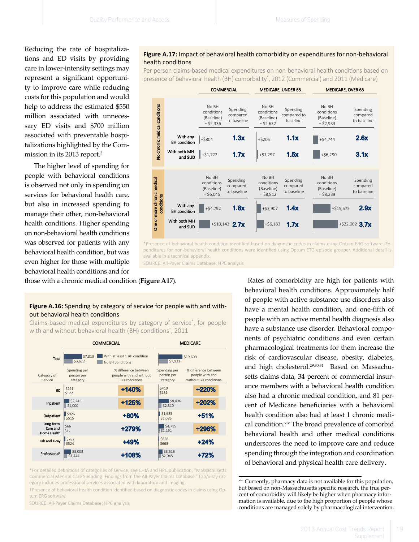Reducing the rate of hospitalizations and ED visits by providing care in lower-intensity settings may represent a significant opportunity to improve care while reducing costs for this population and would help to address the estimated \$550 million associated with unnecessary ED visits and \$700 million associated with preventable hospitalizations highlighted by the Commission in its 2013 report.3

The higher level of spending for people with behavioral conditions is observed not only in spending on services for behavioral health care, but also in increased spending to manage their other, non-behavioral health conditions. Higher spending on non-behavioral health conditions was observed for patients with any behavioral health condition, but was even higher for those with multiple behavioral health conditions and for

#### $\bf{health}$  conditions $\bf{e}^{\rm{max}}$  on  $\bf{e}^{\rm{max}}$ **Figure A.17:** Impact of behavioral health comorbidity on expenditures for non-behavioral

nealth conditions<br>Per person claims-based medical expenditures on non-behavioral health conditions based on presence of behavioral health (BH) comorbidity\* , 2012 (Commercial) and 2011 (Medicare)



<sup>\*</sup>Presence of behavioral health condition identified based on diagnostic codes in claims using Optum ERG software. Expenditures for non-behavioral health conditions were identified using Optum ETG episode grouper. Additional detail is available in a technical appendix.

**\*** Analysis is based on a sample that consists of claims submitted by the three largest commercial SOURCE: All-Payer Claims Database; HPC analysis<br>SOURCE: All-Payer Claims Database; HPC analysis

#### **Figure A.16:** Spending by category of service for people with and without behavioral health conditions

Claims-based medical expenditures by category of service\* , for people with and without behavioral health (BH) conditions† , 2011

|                                      |                                                                        | <b>COMMERCIAL</b> |                                                                         | <b>MEDICARE</b>                        |                                                                  |  |  |
|--------------------------------------|------------------------------------------------------------------------|-------------------|-------------------------------------------------------------------------|----------------------------------------|------------------------------------------------------------------|--|--|
| <b>Total</b>                         | With at least 1 BH condition<br>\$7,313<br>\$3,622<br>No BH conditions |                   |                                                                         | \$7,931                                | \$19,609                                                         |  |  |
| Category of<br>Service               | Spending per<br>person per<br>category                                 |                   | % difference between<br>people with and without<br><b>BH</b> conditions | Spending per<br>person per<br>category | % difference between<br>people with and<br>without BH conditions |  |  |
| <b>ED</b>                            | \$291<br>\$122                                                         |                   | $+140%$                                                                 | \$419<br>\$131                         | +220%                                                            |  |  |
| Inpatient                            | \$2,245<br>\$1,000                                                     |                   | +125%                                                                   | \$8,496<br>\$2,810                     | +202%                                                            |  |  |
| Outpatient                           | \$926<br>\$515                                                         |                   | $+80%$                                                                  | \$1,635<br>\$1,086                     | $+51%$                                                           |  |  |
| Long-term<br>Care and<br>Home Health | \$66<br>\$17                                                           |                   | +279%                                                                   | \$4,715<br>\$1,191                     | +296%                                                            |  |  |
| Lab and X-ray                        | \$782<br>\$524                                                         |                   | +49%                                                                    | \$828<br>\$668                         | $+24%$                                                           |  |  |
| Professional <sup>1</sup>            | \$3,003<br>\$1,444                                                     |                   | $+108%$                                                                 | \$3,516<br>\$2,045                     | $+72%$                                                           |  |  |

\*For detailed definitions of categories of service, see CHIA and HPC publication, "Massachusetts Commercial Medical Care Spending: Findings from the All-Payer Claims Database." Lab/x-ray category includes professional services associated with laboratory and imaging.

**\*** Analysis is based on a sample that consists of claims submitted by the three largest commercial payers – Blue Cross Blue Shield of Massachusetts (BCBS), tum ERG software †Presence of behavioral health condition identified based on diagnostic codes in claims using Op-

SOURCE: All-Payer Claims Database; HPC analysis

those with a chronic medical condition (**Figure A17**). Rates of comorbidity are high for patients with behavioral health conditions. Approximately half of people with active substance use disorders also have a mental health condition, and one-fifth of people with an active mental health diagnosis also have a substance use disorder. Behavioral components of psychiatric conditions and even certain pharmacological treatments for them increase the risk of cardiovascular disease, obesity, diabetes, and high cholesterol.29,30,31 Based on Massachusetts claims data, 34 percent of commercial insurance members with a behavioral health condition also had a chronic medical condition, and 81 percent of Medicare beneficiaries with a behavioral health condition also had at least 1 chronic medical condition.xiv The broad prevalence of comorbid behavioral health and other medical conditions underscores the need to improve care and reduce spending through the integration and coordination of behavioral and physical health care delivery.

xiv  Currently, pharmacy data is not available for this population, but based on non-Massachusetts specific research, the true percent of comorbidity will likely be higher when pharmacy information is available, due to the high proportion of people whose conditions are managed solely by pharmacological intervention.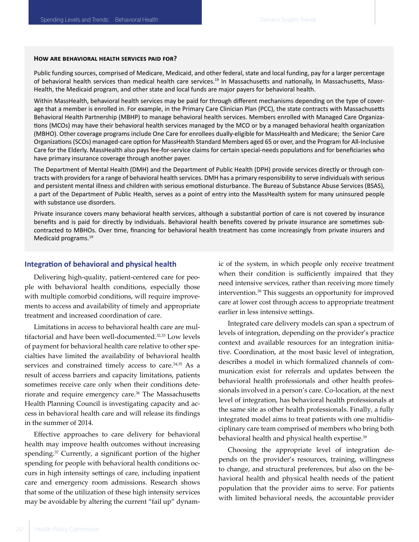#### **How are behavioral health services paid for?**

Public funding sources, comprised of Medicare, Medicaid, and other federal, state and local funding, pay for a larger percentage of behavioral health services than medical health care services.19 In Massachusetts and nationally, In Massachusetts, Mass-Health, the Medicaid program, and other state and local funds are major payers for behavioral health.

Within MassHealth, behavioral health services may be paid for through different mechanisms depending on the type of coverage that a member is enrolled in. For example, in the Primary Care Clinician Plan (PCC), the state contracts with Massachusetts Behavioral Health Partnership (MBHP) to manage behavioral health services. Members enrolled with Managed Care Organizations (MCOs) may have their behavioral health services managed by the MCO or by a managed behavioral health organization (MBHO). Other coverage programs include One Care for enrollees dually-eligible for MassHealth and Medicare; the Senior Care Organizations (SCOs) managed-care option for MassHealth Standard Members aged 65 or over, and the Program for All-Inclusive Care for the Elderly. MassHealth also pays fee-for-service claims for certain special-needs populations and for beneficiaries who have primary insurance coverage through another payer.

The Department of Mental Health (DMH) and the Department of Public Health (DPH) provide services directly or through contracts with providers for a range of behavioral health services. DMH has a primary responsibility to serve individuals with serious and persistent mental illness and children with serious emotional disturbance. The Bureau of Substance Abuse Services (BSAS), a part of the Department of Public Health, serves as a point of entry into the MassHealth system for many uninsured people with substance use disorders.

Private insurance covers many behavioral health services, although a substantial portion of care is not covered by insurance benefits and is paid for directly by individuals. Behavioral health benefits covered by private insurance are sometimes subcontracted to MBHOs. Over time, financing for behavioral health treatment has come increasingly from private insurers and Medicaid programs.19

#### **Integration of behavioral and physical health**

Delivering high-quality, patient-centered care for people with behavioral health conditions, especially those with multiple comorbid conditions, will require improvements to access and availability of timely and appropriate treatment and increased coordination of care.

Limitations in access to behavioral health care are multifactorial and have been well-documented.<sup>32,33</sup> Low levels of payment for behavioral health care relative to other specialties have limited the availability of behavioral health services and constrained timely access to care.<sup>34,35</sup> As a result of access barriers and capacity limitations, patients sometimes receive care only when their conditions deteriorate and require emergency care.<sup>36</sup> The Massachusetts Health Planning Council is investigating capacity and access in behavioral health care and will release its findings in the summer of 2014.

Effective approaches to care delivery for behavioral health may improve health outcomes without increasing spending.<sup>37</sup> Currently, a significant portion of the higher spending for people with behavioral health conditions occurs in high intensity settings of care, including inpatient care and emergency room admissions. Research shows that some of the utilization of these high intensity services may be avoidable by altering the current "fail up" dynamic of the system, in which people only receive treatment when their condition is sufficiently impaired that they need intensive services, rather than receiving more timely intervention.38 This suggests an opportunity for improved care at lower cost through access to appropriate treatment earlier in less intensive settings.

Integrated care delivery models can span a spectrum of levels of integration, depending on the provider's practice context and available resources for an integration initiative. Coordination, at the most basic level of integration, describes a model in which formalized channels of communication exist for referrals and updates between the behavioral health professionals and other health professionals involved in a person's care. Co-location, at the next level of integration, has behavioral health professionals at the same site as other health professionals. Finally, a fully integrated model aims to treat patients with one multidisciplinary care team comprised of members who bring both behavioral health and physical health expertise.<sup>39</sup>

Choosing the appropriate level of integration depends on the provider's resources, training, willingness to change, and structural preferences, but also on the behavioral health and physical health needs of the patient population that the provider aims to serve. For patients with limited behavioral needs, the accountable provider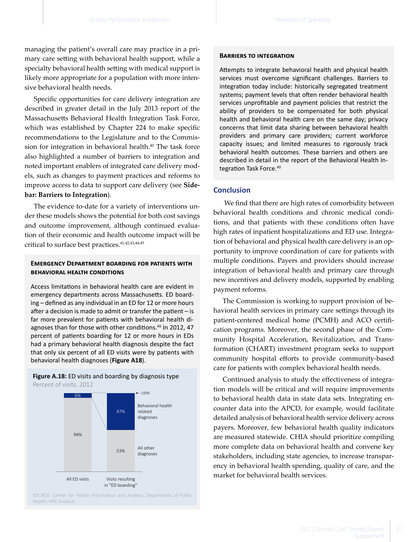managing the patient's overall care may practice in a primary care setting with behavioral health support, while a specialty behavioral health setting with medical support is likely more appropriate for a population with more intensive behavioral health needs.

Specific opportunities for care delivery integration are described in greater detail in the July 2013 report of the Massachusetts Behavioral Health Integration Task Force, which was established by Chapter 224 to make specific recommendations to the Legislature and to the Commission for integration in behavioral health.<sup>40</sup> The task force also highlighted a number of barriers to integration and noted important enablers of integrated care delivery models, such as changes to payment practices and reforms to improve access to data to support care delivery (see **Sidebar: Barriers to Integration**).

The evidence to-date for a variety of interventions under these models shows the potential for both cost savings and outcome improvement, although continued evaluation of their economic and health outcome impact will be critical to surface best practices.<sup>41,42,43,44,45</sup>

#### **Emergency Department boarding for patients with behavioral health conditions**

Access limitations in behavioral health care are evident in emergency departments across Massachusetts. ED boarding – defined as any individual in an ED for 12 or more hours after a decision is made to admit or transfer the patient – is far more prevalent for patients with behavioral health diagnoses than for those with other conditions.<sup>46</sup> In 2012, 47 percent of patients boarding for 12 or more hours in EDs had a primary behavioral health diagnosis despite the fact that only six percent of all ED visits were by patients with behavioral health diagnoses (Figure A18).

**Figure A.18:** ED visits and boarding by diagnosis type Percent of visits, 2012



SOURCE: Center for Health Information and Analysis; Department of Public Health; HPC Analysis

#### **Barriers to integration**

Attempts to integrate behavioral health and physical health services must overcome significant challenges. Barriers to integration today include: historically segregated treatment systems; payment levels that often render behavioral health services unprofitable and payment policies that restrict the ability of providers to be compensated for both physical health and behavioral health care on the same day; privacy concerns that limit data sharing between behavioral health providers and primary care providers; current workforce capacity issues; and limited measures to rigorously track behavioral health outcomes. These barriers and others are described in detail in the report of the Behavioral Health Integration Task Force.<sup>40</sup>

#### **Conclusion**

 We find that there are high rates of comorbidity between behavioral health conditions and chronic medical conditions, and that patients with these conditions often have high rates of inpatient hospitalizations and ED use. Integration of behavioral and physical health care delivery is an opportunity to improve coordination of care for patients with multiple conditions. Payers and providers should increase integration of behavioral health and primary care through new incentives and delivery models, supported by enabling payment reforms.

The Commission is working to support provision of behavioral health services in primary care settings through its patient-centered medical home (PCMH) and ACO certification programs. Moreover, the second phase of the Community Hospital Acceleration, Revitalization, and Transformation (CHART) investment program seeks to support community hospital efforts to provide community-based care for patients with complex behavioral health needs.

Continued analysis to study the effectiveness of integration models will be critical and will require improvements to behavioral health data in state data sets. Integrating encounter data into the APCD, for example, would facilitate detailed analysis of behavioral health service delivery across payers. Moreover, few behavioral health quality indicators are measured statewide. CHIA should prioritize compiling more complete data on behavioral health and convene key stakeholders, including state agencies, to increase transparency in behavioral health spending, quality of care, and the market for behavioral health services.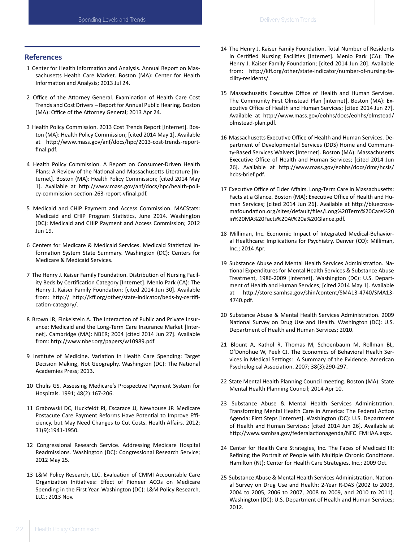#### **References**

- 1  Center for Health Information and Analysis. Annual Report on Massachusetts Health Care Market. Boston (MA): Center for Health Information and Analysis; 2013 Jul 24.
- 2  Office of the Attorney General. Examination of Health Care Cost Trends and Cost Drivers – Report for Annual Public Hearing. Boston (MA): Office of the Attorney General; 2013 Apr 24.
- 3  Health Policy Commission. 2013 Cost Trends Report [Internet]. Boston (MA): Health Policy Commission; [cited 2014 May 1]. Available at http://www.mass.gov/anf/docs/hpc/2013-cost-trends-reportfinal.pdf.
- 4  Health Policy Commission. A Report on Consumer-Driven Health Plans: A Review of the National and Massachusetts Literature [Internet]. Boston (MA): Health Policy Commission; [cited 2014 May 1]. Available at http://www.mass.gov/anf/docs/hpc/health-policy-commission-section-263-report-vfinal.pdf.
- 5  Medicaid and CHIP Payment and Access Commission. MACStats: Medicaid and CHIP Program Statistics, June 2014. Washington (DC): Medicaid and CHIP Payment and Access Commission; 2012 Jun 19.
- 6  Centers for Medicare & Medicaid Services. Medicaid Statistical Information System State Summary. Washington (DC): Centers for Medicare & Medicaid Services.
- 7  The Henry J. Kaiser Family Foundation. Distribution of Nursing Facility Beds by Certification Category [Internet]. Menlo Park (CA): The Henry J. Kaiser Family Foundation; [cited 2014 Jun 30]. Available from: http:// http://kff.org/other/state-indicator/beds-by-certification-category/.
- 8  Brown JR, Finkelstein A. The Interaction of Public and Private Insurance: Medicaid and the Long-Term Care Insurance Market [Internet]. Cambridge (MA): NBER; 2004 [cited 2014 Jun 27]. Available from: http://www.nber.org/papers/w10989.pdf
- 9  Institute of Medicine. Variation in Health Care Spending: Target Decision Making, Not Geography. Washington (DC): The National Academies Press; 2013.
- 10  Chulis GS. Assessing Medicare's Prospective Payment System for Hospitals. 1991; 48(2):167-206.
- 11  Grabowski DC, Huckfeldt PJ, Escarace JJ, Newhouse JP. Medicare Postacute Care Payment Reforms Have Potential to Improve Efficiency, but May Need Changes to Cut Costs. Health Affairs. 2012; 31(9):1941-1950.
- 12  Congressional Research Service. Addressing Medicare Hospital Readmissions. Washington (DC): Congressional Research Service; 2012 May 25.
- 13  L&M Policy Research, LLC. Evaluation of CMMI Accountable Care Organization Initiatives: Effect of Pioneer ACOs on Medicare Spending in the First Year. Washington (DC): L&M Policy Research, LLC.; 2013 Nov.
- 14  The Henry J. Kaiser Family Foundation. Total Number of Residents in Certified Nursing Facilities [Internet]. Menlo Park (CA): The Henry J. Kaiser Family Foundation; [cited 2014 Jun 20]. Available from: http://kff.org/other/state-indicator/number-of-nursing-facility-residents/.
- 15  Massachusetts Executive Office of Health and Human Services. The Community First Olmstead Plan [internet]. Boston (MA): Executive Office of Health and Human Services; [cited 2014 Jun 27]. Available at http://www.mass.gov/eohhs/docs/eohhs/olmstead/ olmstead-plan.pdf.
- 16  Massachusetts Executive Office of Health and Human Services. Department of Developmental Services (DDS) Home and Community-Based Services Waivers [Internet]. Boston (MA): Massachusetts Executive Office of Health and Human Services; [cited 2014 Jun 26]. Available at http://www.mass.gov/eohhs/docs/dmr/hcsis/ hcbs-brief.pdf.
- 17  Executive Office of Elder Affairs. Long-Term Care in Massachusetts: Facts at a Glance. Boston (MA): Executive Office of Health and Human Services; [cited 2014 Jun 26]. Available at http://bluecrossmafoundation.org/sites/default/files/Long%20Term%20Care%20 in%20MA%20Facts%20At%20a%20Glance.pdf.
- 18  Milliman, Inc. Economic Impact of Integrated Medical-Behavioral Healthcare: Implications for Psychiatry. Denver (CO): Milliman, Inc.; 2014 Apr.
- 19  Substance Abuse and Mental Health Services Administration. National Expenditures for Mental Health Services & Substance Abuse Treatment, 1986-2009 [Internet]. Washington (DC): U.S. Department of Health and Human Services; [cited 2014 May 1]. Available at http://store.samhsa.gov/shin/content/SMA13-4740/SMA13- 4740.pdf.
- 20  Substance Abuse & Mental Health Services Administration. 2009 National Survey on Drug Use and Health. Washington (DC): U.S. Department of Health and Human Services; 2010.
- 21  Blount A, Kathol R, Thomas M, Schoenbaum M, Rollman BL, O'Donohue W, Peek CJ. The Economics of Behavioral Health Services in Medical Settings: A Summary of the Evidence. American Psychological Association. 2007; 38(3):290-297.
- 22  State Mental Health Planning Council meeting. Boston (MA): State Mental Health Planning Council; 2014 Apr 10.
- 23  Substance Abuse & Mental Health Services Administration. Transforming Mental Health Care in America: The Federal Action Agenda: First Steps [Internet]. Washington (DC): U.S. Department of Health and Human Services; [cited 2014 Jun 26]. Available at http://www.samhsa.gov/federalactionagenda/NFC\_FMHAA.aspx.
- 24  Center for Health Care Strategies, Inc. The Faces of Medicaid III: Refining the Portrait of People with Multiple Chronic Conditions. Hamilton (NJ): Center for Health Care Strategies, Inc.; 2009 Oct.
- 25  Substance Abuse & Mental Health Services Administration. National Survey on Drug Use and Health: 2-Year R-DAS (2002 to 2003, 2004 to 2005, 2006 to 2007, 2008 to 2009, and 2010 to 2011). Washington (DC): U.S. Department of Health and Human Services; 2012.